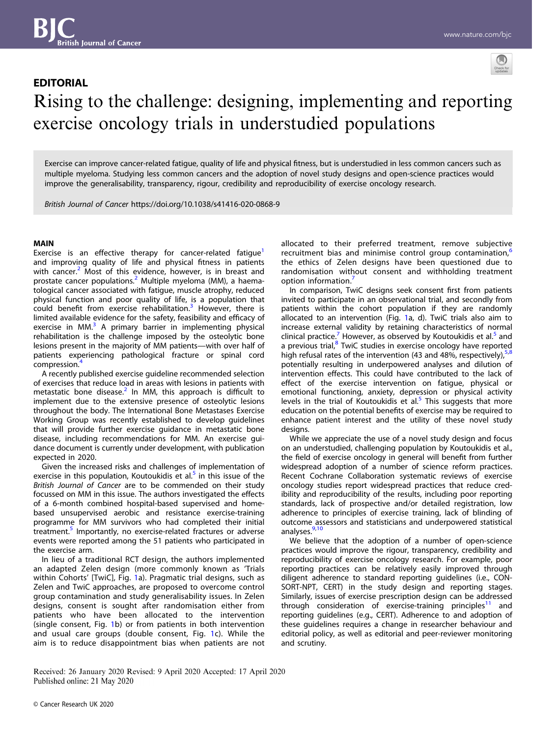

# EDITORIAL Rising to the challenge: designing, implementing and reporting exercise oncology trials in understudied populations

Exercise can improve cancer-related fatigue, quality of life and physical fitness, but is understudied in less common cancers such as multiple myeloma. Studying less common cancers and the adoption of novel study designs and open-science practices would improve the generalisability, transparency, rigour, credibility and reproducibility of exercise oncology research.

British Journal of Cancer https://doi.org/10.1038/s41416-020-0868-9

## MAIN

Exercise is an effective therapy for cancer-related fatique<sup>[1](#page-2-0)</sup> and improving quality of life and physical fitness in patients with cancer.<sup>[2](#page-2-0)</sup> Most of this evidence, however, is in breast and prostate cancer populations.<sup>[2](#page-2-0)</sup> Multiple myeloma (MM), a haematological cancer associated with fatigue, muscle atrophy, reduced physical function and poor quality of life, is a population that could benefit from exercise rehabilitation.<sup>[3](#page-2-0)</sup> However, there is limited available evidence for the safety, feasibility and efficacy of exercise in MM $<sup>3</sup>$  $<sup>3</sup>$  $<sup>3</sup>$  A primary barrier in implementing physical</sup> rehabilitation is the challenge imposed by the osteolytic bone lesions present in the majority of MM patients—with over half of patients experiencing pathological fracture or spinal cord compression.[4](#page-2-0)

A recently published exercise guideline recommended selection of exercises that reduce load in areas with lesions in patients with metastatic bone disease.<sup>[2](#page-2-0)</sup> In MM, this approach is difficult to implement due to the extensive presence of osteolytic lesions throughout the body. The International Bone Metastases Exercise Working Group was recently established to develop guidelines that will provide further exercise guidance in metastatic bone disease, including recommendations for MM. An exercise guidance document is currently under development, with publication expected in 2020.

Given the increased risks and challenges of implementation of exercise in this population, Koutoukidis et al. $<sup>5</sup>$  $<sup>5</sup>$  $<sup>5</sup>$  in this issue of the</sup> British Journal of Cancer are to be commended on their study focussed on MM in this issue. The authors investigated the effects of a 6-month combined hospital-based supervised and homebased unsupervised aerobic and resistance exercise-training programme for MM survivors who had completed their initial treatment.<sup>[5](#page-2-0)</sup> Importantly, no exercise-related fractures or adverse events were reported among the 51 patients who participated in the exercise arm.

In lieu of a traditional RCT design, the authors implemented an adapted Zelen design (more commonly known as 'Trials within Cohorts' [TwiC], Fig. [1a](#page-1-0)). Pragmatic trial designs, such as Zelen and TwiC approaches, are proposed to overcome control group contamination and study generalisability issues. In Zelen designs, consent is sought after randomisation either from patients who have been allocated to the intervention (single consent, Fig. [1](#page-1-0)b) or from patients in both intervention and usual care groups (double consent, Fig. [1c](#page-1-0)). While the aim is to reduce disappointment bias when patients are not allocated to their preferred treatment, remove subjective recruitment bias and minimise control group contamination,<sup>[6](#page-2-0)</sup> the ethics of Zelen designs have been questioned due to randomisation without consent and withholding treatment option information.<sup>[7](#page-2-0)</sup>

In comparison, TwiC designs seek consent first from patients invited to participate in an observational trial, and secondly from patients within the cohort population if they are randomly allocated to an intervention (Fig. [1a](#page-1-0), d). TwiC trials also aim to increase external validity by retaining characteristics of normal clinical practice.<sup>[7](#page-2-0)</sup> However, as observed by Koutoukidis et al.<sup>[5](#page-2-0)</sup> and a previous trial, $8$  TwiC studies in exercise oncology have reported high refusal rates of the intervention (43 and 4[8](#page-2-0)%, respectively),  $5,8$  $5,8$ potentially resulting in underpowered analyses and dilution of intervention effects. This could have contributed to the lack of effect of the exercise intervention on fatigue, physical or emotional functioning, anxiety, depression or physical activity levels in the trial of Koutoukidis et al. $<sup>5</sup>$  This suggests that more</sup> education on the potential benefits of exercise may be required to enhance patient interest and the utility of these novel study designs.

While we appreciate the use of a novel study design and focus on an understudied, challenging population by Koutoukidis et al., the field of exercise oncology in general will benefit from further widespread adoption of a number of science reform practices. Recent Cochrane Collaboration systematic reviews of exercise oncology studies report widespread practices that reduce credibility and reproducibility of the results, including poor reporting standards, lack of prospective and/or detailed registration, low adherence to principles of exercise training, lack of blinding of outcome assessors and statisticians and underpowered statistical analyses.<sup>9,[10](#page-2-0)</sup>

We believe that the adoption of a number of open-science practices would improve the rigour, transparency, credibility and reproducibility of exercise oncology research. For example, poor reporting practices can be relatively easily improved through diligent adherence to standard reporting guidelines (i.e., CON-SORT-NPT, CERT) in the study design and reporting stages. Similarly, issues of exercise prescription design can be addressed through consideration of exercise-training principles<sup>[11](#page-2-0)</sup> and reporting guidelines (e.g., CERT). Adherence to and adoption of these guidelines requires a change in researcher behaviour and editorial policy, as well as editorial and peer-reviewer monitoring and scrutiny.

Received: 26 January 2020 Revised: 9 April 2020 Accepted: 17 April 2020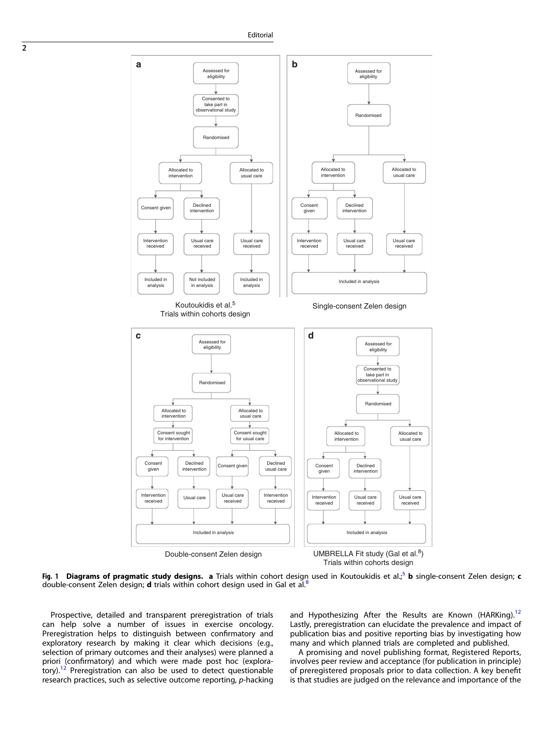<span id="page-1-0"></span>

Trials within cohorts design

Fig. 1 Diagrams of pragmatic study designs. a Trials within cohort design used in Koutoukidis et al.;<sup>[5](#page-2-0)</sup> b single-consent Zelen design; c double-consent Zelen design; d trials within cohort design used in Gal et al.<sup>[8](#page-2-0)</sup>

Prospective, detailed and transparent preregistration of trials can help solve a number of issues in exercise oncology. Preregistration helps to distinguish between confirmatory and exploratory research by making it clear which decisions (e.g., selection of primary outcomes and their analyses) were planned a priori (confirmatory) and which were made post hoc (exploratory)[.12](#page-2-0) Preregistration can also be used to detect questionable research practices, such as selective outcome reporting, p-hacking and Hypothesizing After the Results are Known (HARKing).<sup>[12](#page-2-0)</sup> Lastly, preregistration can elucidate the prevalence and impact of publication bias and positive reporting bias by investigating how many and which planned trials are completed and published.

A promising and novel publishing format, Registered Reports, involves peer review and acceptance (for publication in principle) of preregistered proposals prior to data collection. A key benefit is that studies are judged on the relevance and importance of the